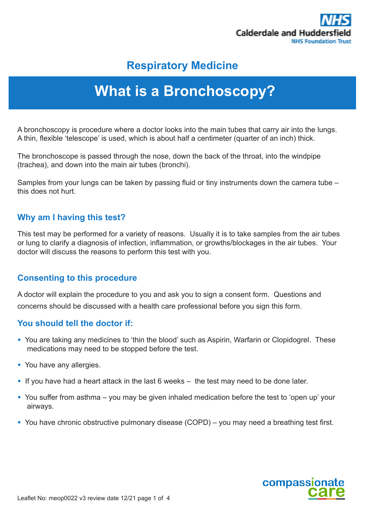

# **Respiratory Medicine**

# **What is a Bronchoscopy?**

A bronchoscopy is procedure where a doctor looks into the main tubes that carry air into the lungs. A thin, flexible 'telescope' is used, which is about half a centimeter (quarter of an inch) thick.

The bronchoscope is passed through the nose, down the back of the throat, into the windpipe (trachea), and down into the main air tubes (bronchi).

Samples from your lungs can be taken by passing fluid or tiny instruments down the camera tube – this does not hurt.

# **Why am I having this test?**

This test may be performed for a variety of reasons. Usually it is to take samples from the air tubes or lung to clarify a diagnosis of infection, inflammation, or growths/blockages in the air tubes. Your doctor will discuss the reasons to perform this test with you.

# **Consenting to this procedure**

A doctor will explain the procedure to you and ask you to sign a consent form. Questions and concerns should be discussed with a health care professional before you sign this form.

# **You should tell the doctor if:**

- You are taking any medicines to 'thin the blood' such as Aspirin, Warfarin or Clopidogrel. These medications may need to be stopped before the test.
- You have any allergies.
- If you have had a heart attack in the last 6 weeks the test may need to be done later.
- You suffer from asthma you may be given inhaled medication before the test to 'open up' your airways.
- You have chronic obstructive pulmonary disease (COPD) you may need a breathing test first.

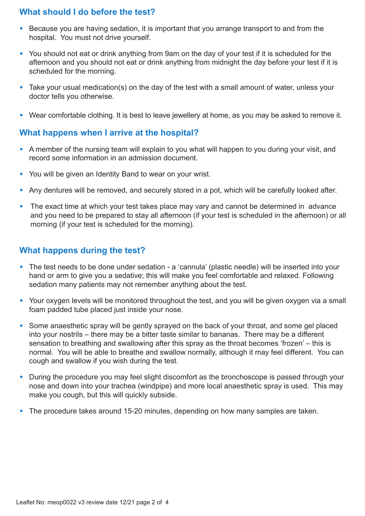# **What should I do before the test?**

- Because you are having sedation, it is important that you arrange transport to and from the hospital. You must not drive yourself.
- You should not eat or drink anything from 9am on the day of your test if it is scheduled for the afternoon and you should not eat or drink anything from midnight the day before your test if it is scheduled for the morning.
- Take your usual medication(s) on the day of the test with a small amount of water, unless your doctor tells you otherwise.
- Wear comfortable clothing. It is best to leave jewellery at home, as you may be asked to remove it.

# **What happens when I arrive at the hospital?**

- A member of the nursing team will explain to you what will happen to you during your visit, and record some information in an admission document.
- You will be given an Identity Band to wear on your wrist.
- Any dentures will be removed, and securely stored in a pot, which will be carefully looked after.
- The exact time at which your test takes place may vary and cannot be determined in advance and you need to be prepared to stay all afternoon (if your test is scheduled in the afternoon) or all morning (if your test is scheduled for the morning).

# **What happens during the test?**

- The test needs to be done under sedation a 'cannula' (plastic needle) will be inserted into your hand or arm to give you a sedative; this will make you feel comfortable and relaxed. Following sedation many patients may not remember anything about the test.
- Your oxygen levels will be monitored throughout the test, and you will be given oxygen via a small foam padded tube placed just inside your nose.
- Some anaesthetic spray will be gently sprayed on the back of your throat, and some gel placed into your nostrils – there may be a bitter taste similar to bananas. There may be a different sensation to breathing and swallowing after this spray as the throat becomes 'frozen' – this is normal. You will be able to breathe and swallow normally, although it may feel different. You can cough and swallow if you wish during the test.
- During the procedure you may feel slight discomfort as the bronchoscope is passed through your nose and down into your trachea (windpipe) and more local anaesthetic spray is used. This may make you cough, but this will quickly subside.
- The procedure takes around 15-20 minutes, depending on how many samples are taken.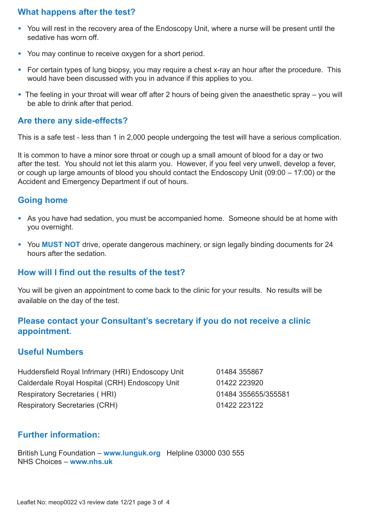# **What happens after the test?**

- You will rest in the recovery area of the Endoscopy Unit, where a nurse will be present until the sedative has worn off.
- You may continue to receive oxygen for a short period.
- For certain types of lung biopsy, you may require a chest x-ray an hour after the procedure. This would have been discussed with you in advance if this applies to you.
- The feeling in your throat will wear off after 2 hours of being given the anaesthetic spray you will be able to drink after that period.

#### **Are there any side-effects?**

This is a safe test - less than 1 in 2,000 people undergoing the test will have a serious complication.

It is common to have a minor sore throat or cough up a small amount of blood for a day or two after the test. You should not let this alarm you. However, if you feel very unwell, develop a fever, or cough up large amounts of blood you should contact the Endoscopy Unit (09:00 – 17:00) or the Accident and Emergency Department if out of hours.

# **Going home**

- As you have had sedation, you must be accompanied home. Someone should be at home with you overnight.
- You **MUST NOT** drive, operate dangerous machinery, or sign legally binding documents for 24 hours after the sedation.

# **How will I find out the results of the test?**

You will be given an appointment to come back to the clinic for your results. No results will be available on the day of the test.

# **Please contact your Consultant's secretary if you do not receive a clinic appointment.**

# **Useful Numbers**

Huddersfield Royal Infrimary (HRI) Endoscopy Unit 01484 355867 Calderdale Royal Hospital (CRH) Endoscopy Unit 01422 223920 Respiratory Secretaries ( HRI) 01484 355655/355581 Respiratory Secretaries (CRH) 01422 223122

# **Further information:**

British Lung Foundation – **www.lunguk.org** Helpline 03000 030 555 NHS Choices – **www.nhs.uk**